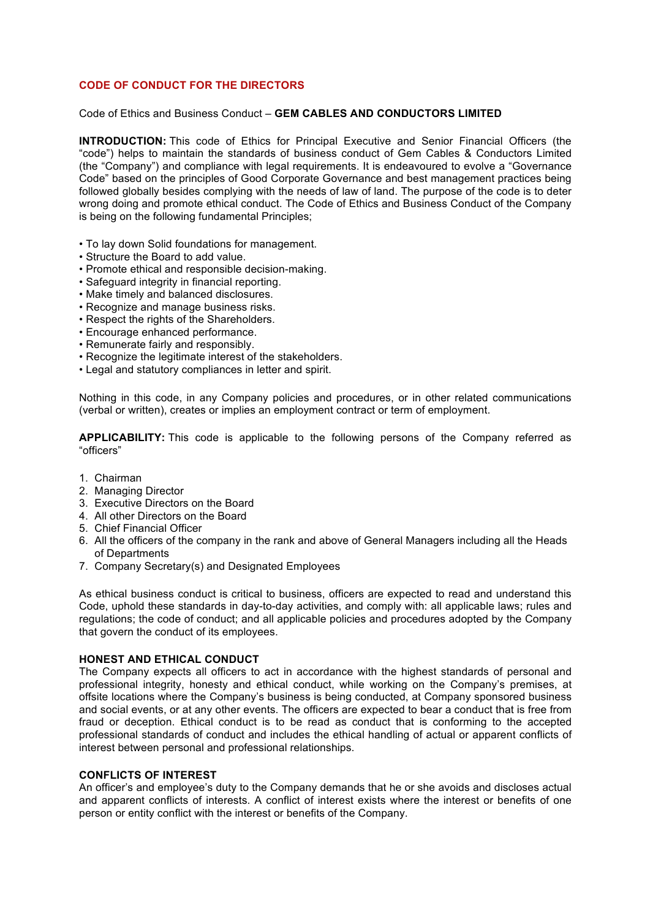# **CODE OF CONDUCT FOR THE DIRECTORS**

#### Code of Ethics and Business Conduct – **GEM CABLES AND CONDUCTORS LIMITED**

**INTRODUCTION:** This code of Ethics for Principal Executive and Senior Financial Officers (the "code") helps to maintain the standards of business conduct of Gem Cables & Conductors Limited (the "Company") and compliance with legal requirements. It is endeavoured to evolve a "Governance Code" based on the principles of Good Corporate Governance and best management practices being followed globally besides complying with the needs of law of land. The purpose of the code is to deter wrong doing and promote ethical conduct. The Code of Ethics and Business Conduct of the Company is being on the following fundamental Principles;

- To lay down Solid foundations for management.
- Structure the Board to add value.
- Promote ethical and responsible decision-making.
- Safeguard integrity in financial reporting.
- Make timely and balanced disclosures.
- Recognize and manage business risks.
- Respect the rights of the Shareholders.
- Encourage enhanced performance.
- Remunerate fairly and responsibly.
- Recognize the legitimate interest of the stakeholders.
- Legal and statutory compliances in letter and spirit.

Nothing in this code, in any Company policies and procedures, or in other related communications (verbal or written), creates or implies an employment contract or term of employment.

**APPLICABILITY:** This code is applicable to the following persons of the Company referred as "officers"

- 1. Chairman
- 2. Managing Director
- 3. Executive Directors on the Board
- 4. All other Directors on the Board
- 5. Chief Financial Officer
- 6. All the officers of the company in the rank and above of General Managers including all the Heads of Departments
- 7. Company Secretary(s) and Designated Employees

As ethical business conduct is critical to business, officers are expected to read and understand this Code, uphold these standards in day-to-day activities, and comply with: all applicable laws; rules and regulations; the code of conduct; and all applicable policies and procedures adopted by the Company that govern the conduct of its employees.

#### **HONEST AND ETHICAL CONDUCT**

The Company expects all officers to act in accordance with the highest standards of personal and professional integrity, honesty and ethical conduct, while working on the Company's premises, at offsite locations where the Company's business is being conducted, at Company sponsored business and social events, or at any other events. The officers are expected to bear a conduct that is free from fraud or deception. Ethical conduct is to be read as conduct that is conforming to the accepted professional standards of conduct and includes the ethical handling of actual or apparent conflicts of interest between personal and professional relationships.

#### **CONFLICTS OF INTEREST**

An officer's and employee's duty to the Company demands that he or she avoids and discloses actual and apparent conflicts of interests. A conflict of interest exists where the interest or benefits of one person or entity conflict with the interest or benefits of the Company.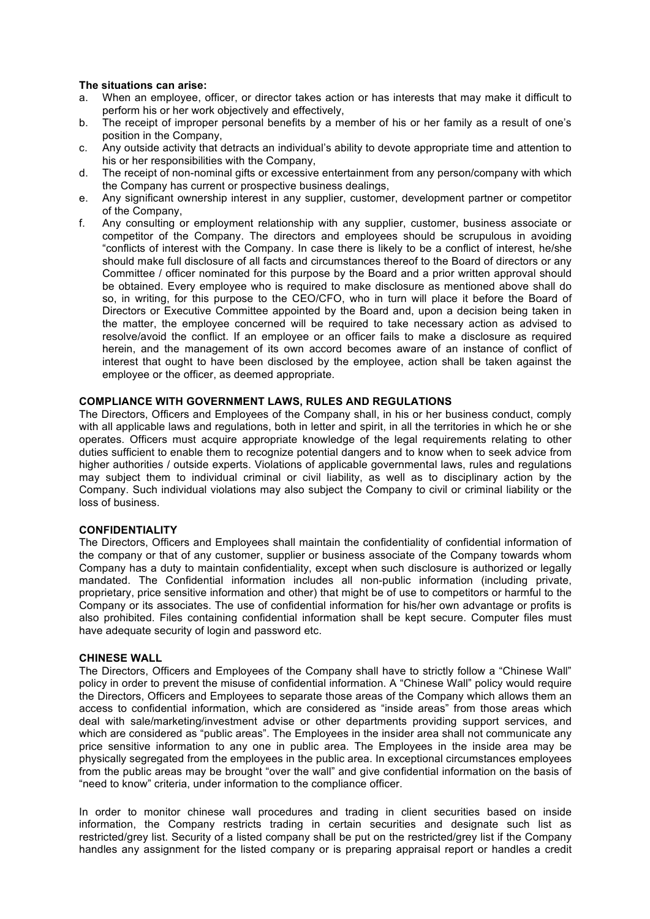#### **The situations can arise:**

- a. When an employee, officer, or director takes action or has interests that may make it difficult to perform his or her work objectively and effectively,
- b. The receipt of improper personal benefits by a member of his or her family as a result of one's position in the Company,
- c. Any outside activity that detracts an individual's ability to devote appropriate time and attention to his or her responsibilities with the Company,
- d. The receipt of non-nominal gifts or excessive entertainment from any person/company with which the Company has current or prospective business dealings,
- e. Any significant ownership interest in any supplier, customer, development partner or competitor of the Company,
- f. Any consulting or employment relationship with any supplier, customer, business associate or competitor of the Company. The directors and employees should be scrupulous in avoiding "conflicts of interest with the Company. In case there is likely to be a conflict of interest, he/she should make full disclosure of all facts and circumstances thereof to the Board of directors or any Committee / officer nominated for this purpose by the Board and a prior written approval should be obtained. Every employee who is required to make disclosure as mentioned above shall do so, in writing, for this purpose to the CEO/CFO, who in turn will place it before the Board of Directors or Executive Committee appointed by the Board and, upon a decision being taken in the matter, the employee concerned will be required to take necessary action as advised to resolve/avoid the conflict. If an employee or an officer fails to make a disclosure as required herein, and the management of its own accord becomes aware of an instance of conflict of interest that ought to have been disclosed by the employee, action shall be taken against the employee or the officer, as deemed appropriate.

## **COMPLIANCE WITH GOVERNMENT LAWS, RULES AND REGULATIONS**

The Directors, Officers and Employees of the Company shall, in his or her business conduct, comply with all applicable laws and regulations, both in letter and spirit, in all the territories in which he or she operates. Officers must acquire appropriate knowledge of the legal requirements relating to other duties sufficient to enable them to recognize potential dangers and to know when to seek advice from higher authorities / outside experts. Violations of applicable governmental laws, rules and regulations may subject them to individual criminal or civil liability, as well as to disciplinary action by the Company. Such individual violations may also subject the Company to civil or criminal liability or the loss of business.

#### **CONFIDENTIALITY**

The Directors, Officers and Employees shall maintain the confidentiality of confidential information of the company or that of any customer, supplier or business associate of the Company towards whom Company has a duty to maintain confidentiality, except when such disclosure is authorized or legally mandated. The Confidential information includes all non-public information (including private, proprietary, price sensitive information and other) that might be of use to competitors or harmful to the Company or its associates. The use of confidential information for his/her own advantage or profits is also prohibited. Files containing confidential information shall be kept secure. Computer files must have adequate security of login and password etc.

#### **CHINESE WALL**

The Directors, Officers and Employees of the Company shall have to strictly follow a "Chinese Wall" policy in order to prevent the misuse of confidential information. A "Chinese Wall" policy would require the Directors, Officers and Employees to separate those areas of the Company which allows them an access to confidential information, which are considered as "inside areas" from those areas which deal with sale/marketing/investment advise or other departments providing support services, and which are considered as "public areas". The Employees in the insider area shall not communicate any price sensitive information to any one in public area. The Employees in the inside area may be physically segregated from the employees in the public area. In exceptional circumstances employees from the public areas may be brought "over the wall" and give confidential information on the basis of "need to know" criteria, under information to the compliance officer.

In order to monitor chinese wall procedures and trading in client securities based on inside information, the Company restricts trading in certain securities and designate such list as restricted/grey list. Security of a listed company shall be put on the restricted/grey list if the Company handles any assignment for the listed company or is preparing appraisal report or handles a credit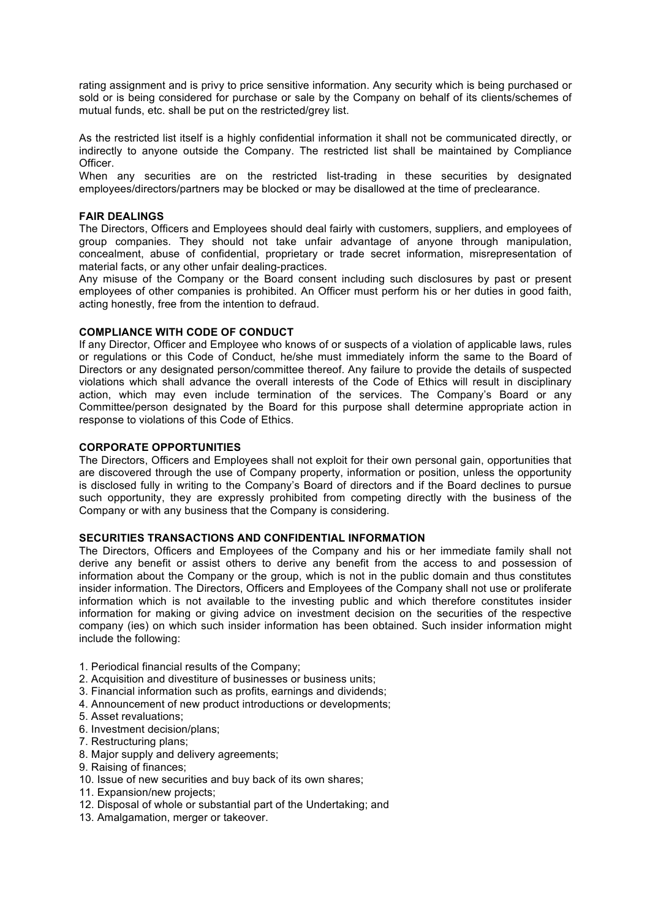rating assignment and is privy to price sensitive information. Any security which is being purchased or sold or is being considered for purchase or sale by the Company on behalf of its clients/schemes of mutual funds, etc. shall be put on the restricted/grey list.

As the restricted list itself is a highly confidential information it shall not be communicated directly, or indirectly to anyone outside the Company. The restricted list shall be maintained by Compliance Officer.

When any securities are on the restricted list-trading in these securities by designated employees/directors/partners may be blocked or may be disallowed at the time of preclearance.

#### **FAIR DEALINGS**

The Directors, Officers and Employees should deal fairly with customers, suppliers, and employees of group companies. They should not take unfair advantage of anyone through manipulation, concealment, abuse of confidential, proprietary or trade secret information, misrepresentation of material facts, or any other unfair dealing-practices.

Any misuse of the Company or the Board consent including such disclosures by past or present employees of other companies is prohibited. An Officer must perform his or her duties in good faith, acting honestly, free from the intention to defraud.

## **COMPLIANCE WITH CODE OF CONDUCT**

If any Director, Officer and Employee who knows of or suspects of a violation of applicable laws, rules or regulations or this Code of Conduct, he/she must immediately inform the same to the Board of Directors or any designated person/committee thereof. Any failure to provide the details of suspected violations which shall advance the overall interests of the Code of Ethics will result in disciplinary action, which may even include termination of the services. The Company's Board or any Committee/person designated by the Board for this purpose shall determine appropriate action in response to violations of this Code of Ethics.

## **CORPORATE OPPORTUNITIES**

The Directors, Officers and Employees shall not exploit for their own personal gain, opportunities that are discovered through the use of Company property, information or position, unless the opportunity is disclosed fully in writing to the Company's Board of directors and if the Board declines to pursue such opportunity, they are expressly prohibited from competing directly with the business of the Company or with any business that the Company is considering.

#### **SECURITIES TRANSACTIONS AND CONFIDENTIAL INFORMATION**

The Directors, Officers and Employees of the Company and his or her immediate family shall not derive any benefit or assist others to derive any benefit from the access to and possession of information about the Company or the group, which is not in the public domain and thus constitutes insider information. The Directors, Officers and Employees of the Company shall not use or proliferate information which is not available to the investing public and which therefore constitutes insider information for making or giving advice on investment decision on the securities of the respective company (ies) on which such insider information has been obtained. Such insider information might include the following:

- 1. Periodical financial results of the Company;
- 2. Acquisition and divestiture of businesses or business units;
- 3. Financial information such as profits, earnings and dividends;
- 4. Announcement of new product introductions or developments;
- 5. Asset revaluations;
- 6. Investment decision/plans;
- 7. Restructuring plans;
- 8. Major supply and delivery agreements;
- 9. Raising of finances;
- 10. Issue of new securities and buy back of its own shares;
- 11. Expansion/new projects;
- 12. Disposal of whole or substantial part of the Undertaking; and
- 13. Amalgamation, merger or takeover.